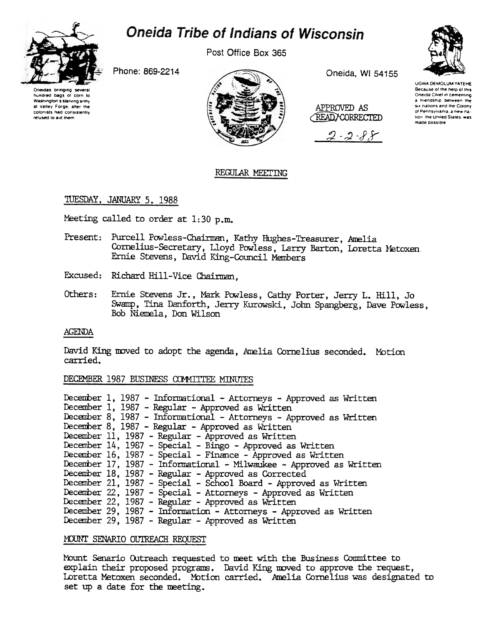

# **Oneida Tribe of Indians of Wisconsin**

Post Office Box 365

Phone: 869-2214





Oneida, WI 54155

APPROVED AS **READ/CORRECTED** 





**UGWA DEMOLUM YATEHE** Because of the help of this<br>Oneida Chief in cementing a friendship between the six nations and the Colony of Pennsylvania, a new nation the United States, was made possible

# REGULAR MEETING

# TUESDAY, JANUARY 5, 1988

Meeting called to order at 1:30 p.m.

- Present: Purcell Powless-Chairman, Kathy Hughes-Treasurer, Amelia Cornelius-Secretary, Lloyd Powless, Larry Barton, Loretta Metoxen Ernie Stevens, David King-Council Members
- Excused: Richard Hill-Vice Chairman.
- Others: Ernie Stevens Jr., Mark Powless, Cathy Porter, Jerry L. Hill. Jo Swamp, Tina Danforth, Jerry Kurowski, John Spangberg, Dave Powless, Bob Niemela, Don Wilson

#### **AGENDA**

David King moved to adopt the agenda, Amelia Cornelius seconded. Motion carried.

# DECEMBER 1987 BUSINESS COMMITTEE MINUTES

| December 1, 1987 - Informational - Attorneys - Approved as Written  |
|---------------------------------------------------------------------|
| December 1, 1987 - Regular - Approved as Written                    |
| December 8, 1987 - Informational - Attorneys - Approved as Written  |
| December 8, 1987 - Regular - Approved as Written                    |
| December 11, 1987 - Regular - Approved as Written                   |
| December 14, 1987 - Special - Bingo - Approved as Written           |
| December 16, 1987 - Special - Finance - Approved as Written         |
| December 17, 1987 - Informational - Milwaukee - Approved as Written |
| December 18, 1987 - Regular - Approved as Corrected                 |
| December 21, 1987 - Special - School Board - Approved as Written    |
| December 22, 1987 - Special - Attorneys - Approved as Written       |
| December 22, 1987 - Regular - Approved as Written                   |
| December 29, 1987 - Information - Attorneys - Approved as Written   |
| December 29, 1987 - Regular - Approved as Written                   |

## MOUNT SENARIO OUTREACH REQUEST

Mount Senario Outreach requested to meet with the Business Committee to explain their proposed programs. David King moved to approve the request, Loretta Metoxen seconded. Motion carried. Amelia Cornelius was designated to set up a date for the meeting.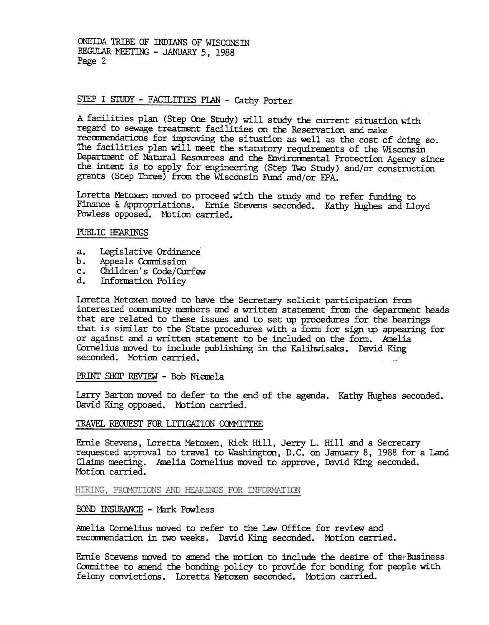ONEIDA TRIBE OF INDIANS OF WISCONSIN REGULAR MEETING - JANUARY 5, 1988 Page 2

# STEP I STUDY - FACILITIES PIAN - Cathy Porter

A facilities plan (Step One Study) will study the current situation with regard to sewage treatment facilities on the Reservation and make recommendations for improving the situation as well as the cost of doing so. The facilities plan will meet the statutory requirements of the Wisconsin Department of Natural Resources and the Environmental Protection Agency since the intent is to apply for engineering (Step Two Study) and/or construction grants (Step Three) from the Wisconsin Ftmd and/or EPA.

Ioretta Metoxen moved to proceed with the study and to refer funding to Finance & Appropriations. Ernie Stevens seconded. Kathy Hughes and Lloyd Powless opposed. Motion carried.

#### PUBLIC HFARINGS

- Legislative Ordinance a.
- b.
- Appeals Commission<br>Children's Code/Curfew c.
- Information Policy d.

Loretta Metoxen moved to have the Secretary solicit participation from interested community members and a written statement from the department heads that are related to these issues and to set up procedures for the hearings that is similar to the State procedures with a form for sign up appearing for or against and a written statement to be included on the form. Amelia Cornelius moved to include publishing in the Kalihwisaks. David King seconded. Motion carried.  $\blacksquare$ 

PRINT SHOP REVIEW - Bob Niemela

Larry Barton moved to defer to the end of the agenda. Kathy Hughes seconded. David King opposed. Motion carried.

#### TRAVEL REQUEST FOR LITIGATION COMMITTEE

Ernie Stevens, Loretta Metoxen, Rick Hill, Jerry L. Hill and a Secretary requested approval to travel to Washington, D.C. on January 8, 1988 for a Land Claims meeting. Amelia Cornelius moved to approve, David King seconded. Motion carried.

HIRING, PROMOTIONS AND HEARINGS FOR INFORMATION

## BOND INSURANCE - Mark Powless

Amelia Cornelius moved to refer to the Law Office for review and recommendation in two weeks. David King seconded. Motion carried.

Ernie Stevens moved to amend the motion to include the desire of the $\\$ :Business Committee to amend the bonding policy to provide for bonding for people with felony convictions. Loretta Metoxen seconded. Motion carried.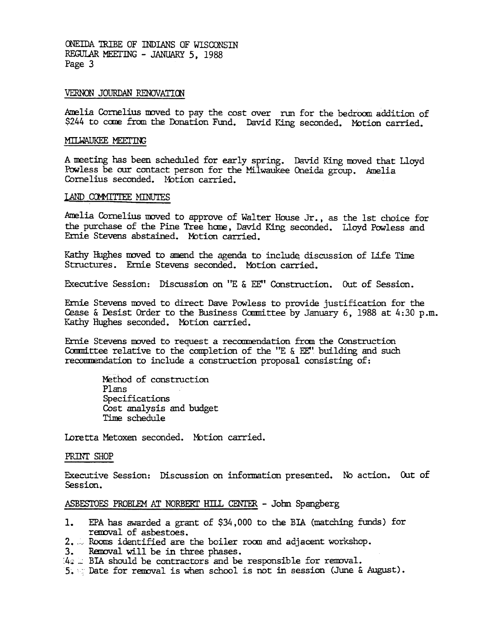ONEIDA TRIBE OF INDIANS OF WISCONSTN REGULAR MEETING - JANUARY 5, 1988 Page 3

## VERNON JOURDAN RENOVATION

Amelia Cornelius moved to pay the cost over run for the bedroom addition of \$244 to come from the Donation Fund. David King seconded. Motion carried.

#### MILWAUKEE MEETING

A meeting has been scheduled for early spring. David King moved that Lloyd Powless be our contact person for the Milwaukee Oneida group. Amelia Cornelius seconded. Motion carried.

## LAND COMMITTEE MINUTES

Amelia Cornelius moved to approve of Walter House Jr., as the 1st choice for the purchase of the Pine Tree home, David King seconded. Lloyd Powless and Ernie Stevens abstained. Motion carried.

Kathy Hughes moved to amend the agenda to include discussion of Life Time Structures. Ernie Stevens seconded. Motion carried.

Executive Session: Discussion on "E & EE" Construction. Out of Session.

Ernie Stevens moved to direct Dave Powless to provide justification for the Cease & Desist Order to the Business Committee by January 6, 1988 at 4:30 p.m. Kathy Hughes seconded. Motion carried.

Ernie Stevens moved to request a recommendation from the Construction Committee relative to the completion of the "E  $\&$  EE" building and such recommendation to include a construction proposal consisting of:

> Method of construction Plans Specifications Cost analysis and budget Tine schedule

Loretta Metoxen seconded. Motion carried.

#### PRINT SHOP

Executive Session: Discussion on information presented. No action. Out of Session.

## ASBESTOES PROBLEM AT NORBERT HILL CENTER - John Spangberg

- 1. EPA has awarded a grant of \$34, 000 to the BIA (matching funds) for removal of asbestoes.
- $2.$   $\sim$  Rooms identified are the boiler room and adjacent workshop.
- 3. Removal will be in three phases.
- $44 \times$  BIA should be contractors and be responsible for removal.
- $5.$  Thate for removal is when school is not in session (June & August).